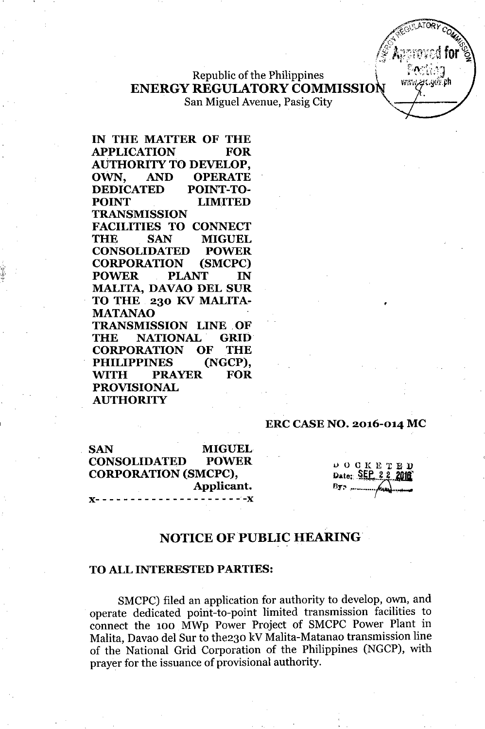Republic of the Philippines \ ENERGY REGULATORY COMMISSION

San Miguel Avenue, Pasig City

IN THE MATTER OF THE APPLICATION FOR AUTHORITY TO DEVELOP, OWN, AND OPERATE DEDICATED POINT-TO-POINT LIMITED TRANSMISSION FACILITIES TO CONNECT THE SAN MIGUEL CONSOLIDATED POWER CORPORATION (SMCPC) POWER PLANT IN MALITA, DAVAO DEL SUR TO THE 230 KV MALITA-MATANAO TRANSMISSION LINE. OF THE NATIONAL GRID CORPORATION OF THE PHILIPPINES (NGCP), ~TH PRAYER FOR PROVISIONAL AUTHORITY

#### ERC CASE NO. 2016-014 MC

SAN MIGUEL CONSOLIDATED POWER CORPORATION (SMCPC), Applicant. J(- - - - - - - - - - - - - - - - - - - - *--J(*

 $D$  O C K E T E Date: SEP 22

•

www.zec.gov.ph

# NOTICE OF PUBLIC HEARING

#### TO ALL INTERESTED PARTIES:

SMCPC) filed an application for authority to develop, own, and operate dedicated point-to-point limited transmission facilities to connect the 100 MWp Power Project of SMCPC Power Plant in Malita, Davao del Sur to the230 kV Malita-Matanao transmission line of the National Grid Corporation of the Philippines (NGCP), with prayer for the issuance of provisional authority.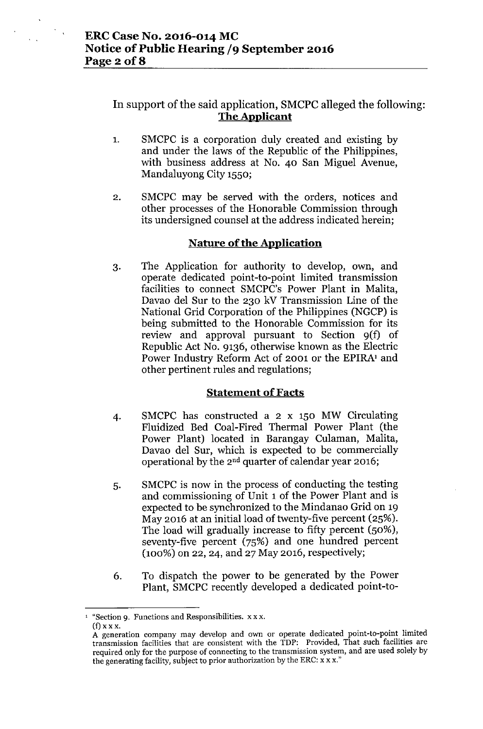# In support of the said application, SMCPC alleged the following: **The Applicant**

- 1. SMCPC is a corporation duly created and existing by and under the laws of the Republic of the Philippines, with business address at No. 40 San Miguel Avenue, Mandaluyong City 1550;
- 2. SMCPC may be served with the orders, notices and other processes of the Honorable Commission through its undersigned counsel at the address indicated herein;

### **Nature of the Application**

3. The Application for authority to develop, own, and operate dedicated point-to-point limited transmission facilities to connect SMCPC's Power Plant in Malita, Davao del Sur to the 230 kV Transmission Line of the National Grid Corporation of the Philippines (NGCP) is being submitted to the Honorable Commission for its review and approval pursuant to Section 9(f) of Republic Act No. 9136, otherwise known as the Electric Power Industry Reform Act of 2001 or the EPIRA<sup>1</sup> and other pertinent rules and regulations;

## **Statement of Facts**

- 4. SMCPC has constructed a 2 x 150 MW Circulating Fluidized Bed Coal-Fired Thermal Power Plant (the Power Plant) located in Barangay Culaman, Malita, Davao del Sur, which is expected to be commercially operational by the 2nd quarter of calendar year 2016;
- 5. SMCPC is now in the process of conducting the testing and commissioning of Unit 1 of the Power Plant and is expected to be synchronized to the Mindanao Grid on 19 May 2016 at an initial load of twenty-five percent (25%). The load will gradually increase to fifty percent (50%), seventy-five percent (75%) and one hundred percent (100%) on 22, 24, and 27 May 2016, respectively;
- 6. To dispatch the power to be generated by the Power Plant, SMCPC recently developed a dedicated point-to-

 $^1$  "Section 9. Functions and Responsibilities. x x x.  $(f)$  x x x.

A generation company may develop and own or operate dedicated point-to-point limited transmission facilities that are consistent with the TDP: Provided, That such facilities are required only for the purpose of connecting to the transmission system, and are used solely by the generating facility, subject to prior authorization by the ERC: x x x."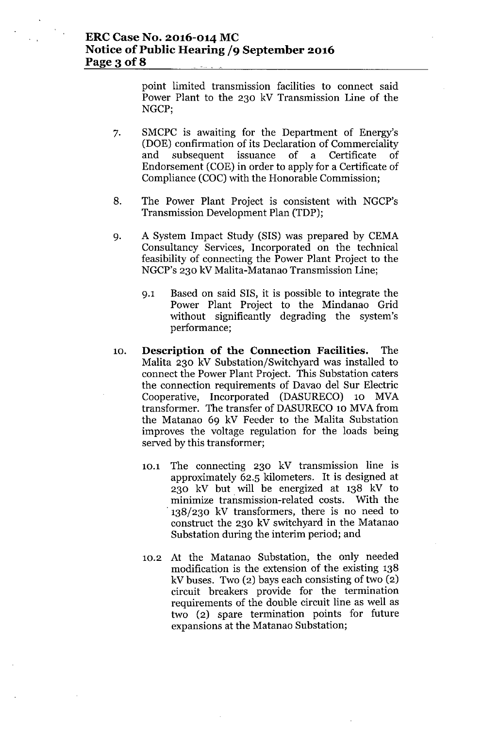point limited transmission facilities to connect said Power Plant to the 230 kV Transmission Line of the NGCP;

- 7. SMCPC is awaiting for the Department of Energy's (DOE) confirmation of its Declaration of Commerciality and subsequent issuance of a Certificate of Endorsement (COE) in order to apply for a Certificate of Compliance (COC) with the Honorable Commission;
- 8. The Power Plant Project is consistent with NGCP's Transmission Development Plan (TDP);
- 9. A System Impact Study (SIS) was prepared by CEMA Consultancy Services, Incorporated on the technical feasibility of connecting the Power Plant Project to the NGCP's 230 kV Malita-Matanao Transmission Line;
	- 9.1 Based on said SIS, it is possible to integrate the Power Plant Project to the Mindanao Grid without significantly degrading the system's performance;
- 10. **Description of the Connection Facilities.** The Malita 230 kV Substation/Switchyard was installed to connect the Power Plant Project. This Substation caters the connection requirements of Davao del Sur Electric Cooperative, Incorporated (DASURECO) 10 MVA transformer. The transfer of DASURECO 10 MVA from the Matanao 69 kV Feeder to the Malita Substation improves the voltage regulation for the loads being served by this transformer;
	- 10.1 The connecting 230 kV transmission line is approximately 62.5 kilometers. It is designed at 230 kV but will be energized at 138 kV to minimize transmission-related costs. With the . 138/230 kV transformers, there is no need to construct the 230 kV switchyard in the Matanao Substation during the interim period; and
	- 10.2 At the Matanao Substation, the only needed modification is the extension of the existing 138 kV buses. Two (2) bays each consisting of two (2) circuit breakers provide for the termination requirements of the double circuit line as well as two (2) spare termination points for future expansions at the Matanao Substation;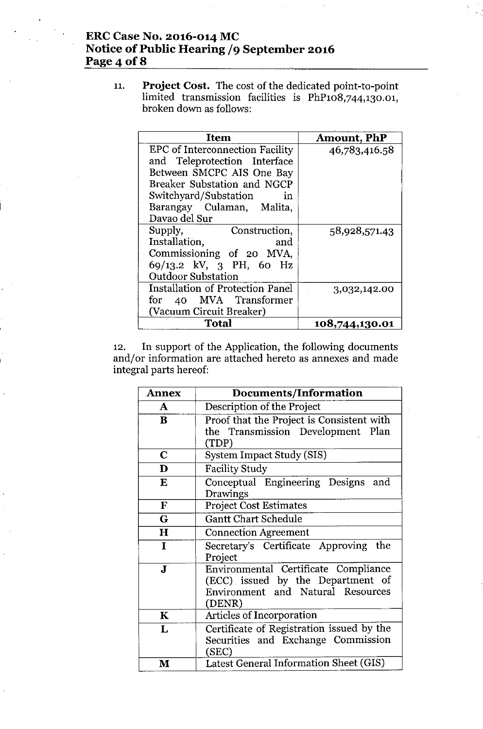# **ERC Case No; 2016-014 MC Notice of Public Hearing /9 September 2016 Page** 4 **of 8**

11. **Project Cost.** The cost of the dedicated point-to-point limited transmission facilities is PhP108,744,130.01, broken down as follows:

| <b>Item</b>                             | <b>Amount, PhP</b> |
|-----------------------------------------|--------------------|
| <b>EPC</b> of Interconnection Facility  | 46,783,416.58      |
| and Teleprotection Interface            |                    |
| Between SMCPC AIS One Bay               |                    |
| Breaker Substation and NGCP             |                    |
| Switchyard/Substation<br>in             |                    |
| Barangay Culaman, Malita,               |                    |
| Davao del Sur                           |                    |
| Supply,<br>Construction,                | 58,928,571.43      |
| Installation,<br>and                    |                    |
| Commissioning of 20 MVA,                |                    |
| 69/13.2 kV, 3 PH, 60 Hz                 |                    |
| <b>Outdoor Substation</b>               |                    |
| <b>Installation of Protection Panel</b> | 3,032,142.00       |
| for 40 MVA Transformer                  |                    |
| (Vacuum Circuit Breaker)                |                    |
| Total                                   | 108,744,130.01     |

12. **In** support of the Application, the following documents and/or information are attached hereto as annexes and made integral parts hereof:

| <b>Annex</b> | <b>Documents/Information</b>                                                                                             |
|--------------|--------------------------------------------------------------------------------------------------------------------------|
| A            | Description of the Project                                                                                               |
| B            | Proof that the Project is Consistent with<br>the Transmission Development Plan<br>(TDP)                                  |
| $\mathbf C$  | System Impact Study (SIS)                                                                                                |
| D            | <b>Facility Study</b>                                                                                                    |
| E            | Conceptual Engineering Designs<br>and<br>Drawings                                                                        |
| ${\bf F}$    | <b>Project Cost Estimates</b>                                                                                            |
| G            | Gantt Chart Schedule                                                                                                     |
| $\mathbf H$  | <b>Connection Agreement</b>                                                                                              |
| I            | Secretary's Certificate Approving the<br>Project                                                                         |
| $\mathbf{J}$ | Environmental Certificate Compliance<br>(ECC) issued by the Department of<br>Environment and Natural Resources<br>(DENR) |
| $\mathbf K$  | Articles of Incorporation                                                                                                |
| L            | Certificate of Registration issued by the<br>Securities and Exchange Commission<br>(SEC)                                 |
| $\mathbf{M}$ | Latest General Information Sheet (GIS)                                                                                   |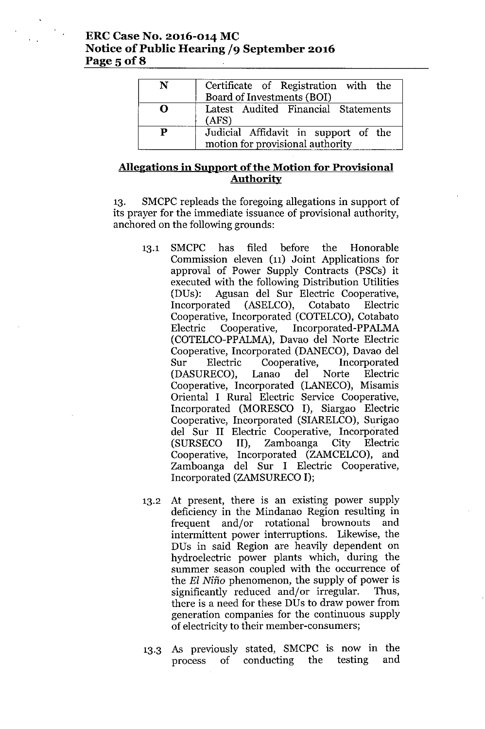### **ERCCase No. 2016-014 MC Notice** of Public **Hearing /9 September 2016** Page 5 **of8**

| N | Certificate of Registration with the<br>Board of Investments (BOI)       |
|---|--------------------------------------------------------------------------|
| O | Latest Audited Financial Statements<br>(ATS)                             |
| P | Judicial Affidavit in support of the<br>motion for provisional authority |

### **Allegations in Support** of the **Motion for Provisional Authority**

13. SMCPC repleads the foregoing allegations in support of its prayer for the immediate issuance of provisional authority, anchored on the following grounds:

- 13.1 SMCPC has filed before the Honorable Commission eleven (11) Joint Applications for approval of Power Supply Contracts (PSCs) it executed with the following Distribution Utilities (DUs): Agusan del Sur Electric Cooperative, Incorporated (ASELCO), Cotabato Electric Cooperative, Incorporated (COTELCO), Cotabato Electric Cooperative, Incorporated-PPALMA (COTELCO-PPALMA), Davao del Norte Electric Cooperative, Incorporated (DANECO), Davao del Sur Electric Cooperative, Incorporated (DASURECO), Lanao del Norte Electric Cooperative, Incorporated (LANECO), Misamis Oriental I Rural Electric Service Cooperative, Incorporated (MORESCO I), Siargao Electric Cooperative, Incorporated (SIARELCO), Surigao del Sur II Electric Cooperative, Incorporated (SURSECO II), Zamboanga City Electric Cooperative, Incorporated (ZAMCELCO), and Zamboanga del Sur I Electric Cooperative, Incorporated (ZAMSURECOI);
- 13.2 At present, there is an existing power supply deficiency in the Mindanao Region resulting in frequent and/or rotational brownouts and intermittent power interruptions. Likewise, the DUs in said Region are heavily dependent on hydroelectric power plants which, during the summer season coupled with the occurrence of the *EI* Nino phenomenon, the supply of power is significantly reduced and/or irregular. Thus, there is a need for these DUs to draw power from generation companies for the continuous supply of electricity to their member-consumers;
- 13.3 As previously stated, SMCPC is now in the process of conducting the testing and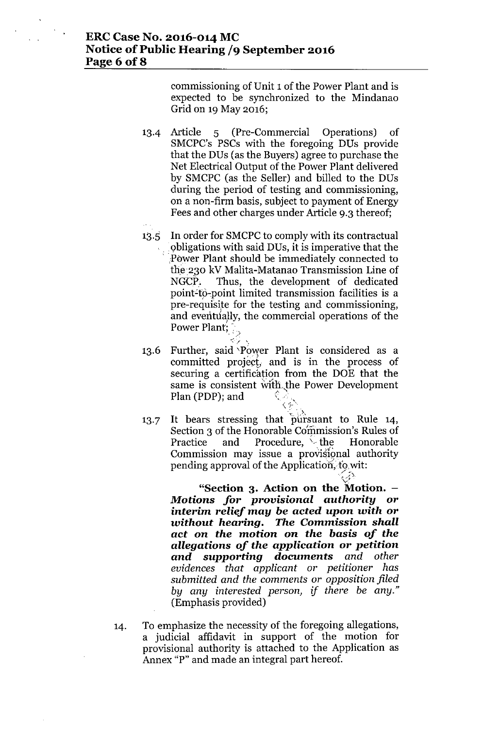commissioning of Unit 1 of the Power Plant and is expected to be synchronized to the Mindanao Grid on 19May 2016;

- 13.4 Article 5 (Pre-Commercial Operations) of SMCPC's PSCs with the foregoing DUs provide that the DUs (as the Buyers) agree to purchase the Net Electrical Output of the Power Plant delivered by SMCPC (as the Seller) and billed to the DUs during the period of testing and commissioning, on a non-firm basis, subject to payment of Energy Fees and other charges under Article 9.3 thereof;
- In order for SMCPC to comply with its contractual  $13.5$ obligations with said DUs, it is imperative that the .Power Plant should be immediately connected to the 230 kV Malita-Matanao Transmission Line of NGCP. Thus, the development of dedicated point-to-point limited transmission facilities is a pre-requisite for the testing and commissioning, and eventually, the commercial operations of the Power Plant;
- $\ll_\epsilon$  . Further, said 'Power Plant is considered as a 13.6 committed project, and is in the process of securing a certification from the DOE that the same is consistent with the Power Development Plan (PDP); and  $\langle \cdot \rangle$  .
- 13.7 '.<br>'~. UN It bears stressing that pursuant to Rule 14, Section 3 of the Honorable Commission's Rules of Practice and Procedure,  $\rightarrow$  the Honorable Commission may issue a provisional authority pending approval of the Application, to wi

.<br>Y **"Section 3. Action on the Motion.** *Motions for provisional authority* **or interim** *relief may be* **acted** *upon with* **or** *without hearing. The Commission shall act* **on** *the motion* **on** *the basis of the allegations of the application* **or** *petition and supporting documents and other evidences that applicant or petitioner has submitted and the comments or opposition filed by any interested person, if there be any."* (Emphasis provided)

 $\leqslant$   $\geqslant$  .

14. To emphasize the necessity of the foregoing allegations, a judicial affidavit in support of the motion for provisional authority is attached to the Application as Annex "P" and made an integral part hereof.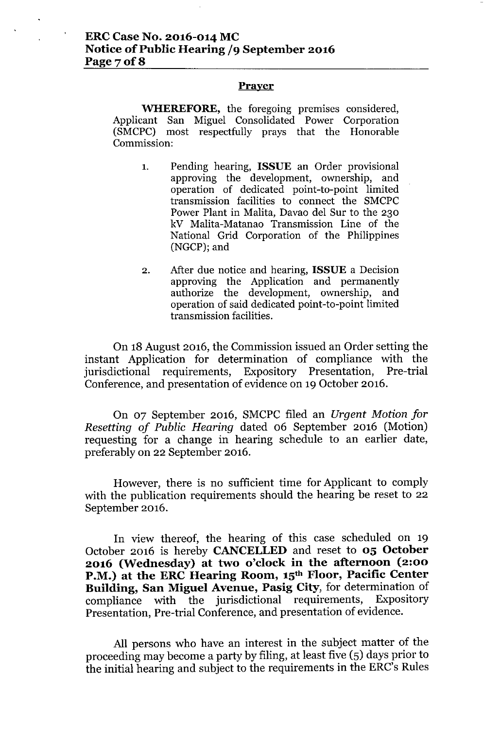## **ERCCase No. 2016-014 MC Notice** of Public **Hearing /9 September 2016 Page70f8**

#### **Prayer**

**WHEREFORE,** the foregoing premises considered, Applicant San Miguel Consolidated Power Corporation (SMCPC) most respectfully prays that the Honorable Commission:

- 1. Pending hearing, **ISSUE** an Order provisional approving the development, ownership, and operation of dedicated point-to-point limited transmission facilities to connect the SMCPC Power Plant in Malita, Davao del Sur to the 230 kV Malita-Matanao Transmission Line of the National Grid Corporation of the Philippines (NGCP);and
- 2. After due notice and hearing, **ISSUE** a Decision approving the Application and permanently authorize the development, ownership, and operation of said dedicated point-to-point limited transmission facilities.

On 18 August 2016, the Commission issued an Order setting the instant Application for determination of compliance with the jurisdictional requirements, Expository Presentation, Pre-trial Conference, and presentation of evidence on 19 October 2016.

On 07 September 2016, SMCPC filed an *Urgent Motion for Resetting of Public Hearing* dated 06 September 2016 (Motion) requesting for a change in hearing schedule to an earlier date, preferably on 22 September 2016.

However, there is no sufficient time for Applicant to comply with the publication requirements should the hearing be reset to 22 September 2016.

In view thereof, the hearing of this case scheduled on 19 October 2016 is hereby **CANCELLED**and reset to **05 October 2016 (Wednesday) at two o'clock in the afternoon (2:00 P.M.) at the ERC Hearing Room, 15th Floor, Pacific Center Building, San Miguel Avenue, Pasig City,** for determination of compliance with the jurisdictional requirements, Expository Presentation, Pre-trial Conference, and presentation of evidence.

All persons who have an interest in the subject matter of the proceeding may become a party by filing, at least five (5) days prior to the initial hearing and subject to the requirements in the ERC's Rules